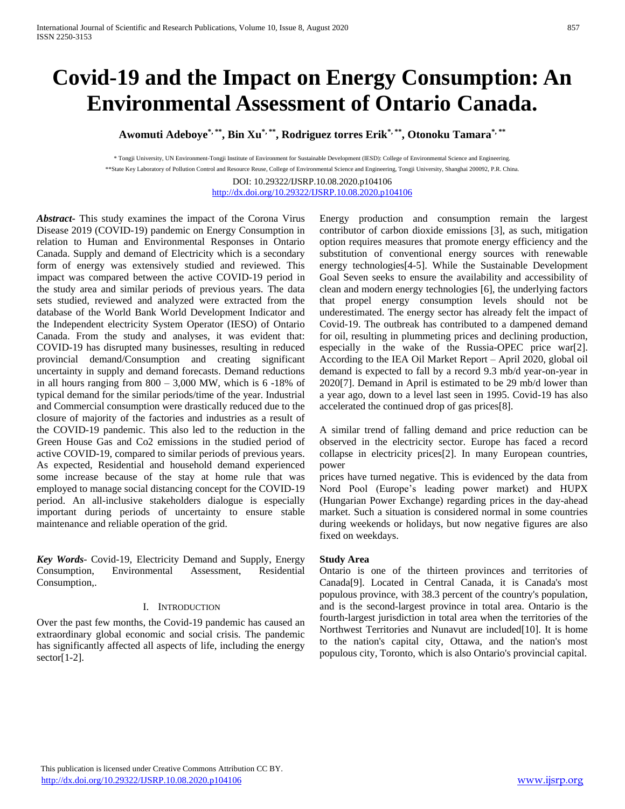# **Covid-19 and the Impact on Energy Consumption: An Environmental Assessment of Ontario Canada.**

**Awomuti Adeboye\*, \*\* , Bin Xu\*, \*\* , Rodriguez torres Erik\*, \*\* , Otonoku Tamara\*, \*\***

\* Tongji University, UN Environment-Tongji Institute of Environment for Sustainable Development (IESD): College of Environmental Science and Engineering. \*\*State Key Laboratory of Pollution Control and Resource Reuse, College of Environmental Science and Engineering, Tongji University, Shanghai 200092, P.R. China. DOI: 10.29322/IJSRP.10.08.2020.p104106

<http://dx.doi.org/10.29322/IJSRP.10.08.2020.p104106>

*Abstract***-** This study examines the impact of the Corona Virus Disease 2019 (COVID-19) pandemic on Energy Consumption in relation to Human and Environmental Responses in Ontario Canada. Supply and demand of Electricity which is a secondary form of energy was extensively studied and reviewed. This impact was compared between the active COVID-19 period in the study area and similar periods of previous years. The data sets studied, reviewed and analyzed were extracted from the database of the World Bank World Development Indicator and the Independent electricity System Operator (IESO) of Ontario Canada. From the study and analyses, it was evident that: COVID-19 has disrupted many businesses, resulting in reduced provincial demand/Consumption and creating significant uncertainty in supply and demand forecasts. Demand reductions in all hours ranging from  $800 - 3,000$  MW, which is 6 -18% of typical demand for the similar periods/time of the year. Industrial and Commercial consumption were drastically reduced due to the closure of majority of the factories and industries as a result of the COVID-19 pandemic. This also led to the reduction in the Green House Gas and Co2 emissions in the studied period of active COVID-19, compared to similar periods of previous years. As expected, Residential and household demand experienced some increase because of the stay at home rule that was employed to manage social distancing concept for the COVID-19 period. An all-inclusive stakeholders dialogue is especially important during periods of uncertainty to ensure stable maintenance and reliable operation of the grid.

*Key Words*- Covid-19, Electricity Demand and Supply, Energy Consumption, Environmental Assessment, Residential Consumption,.

#### I. INTRODUCTION

Over the past few months, the Covid-19 pandemic has caused an extraordinary global economic and social crisis. The pandemic has significantly affected all aspects of life, including the energy sector[1-2].

Energy production and consumption remain the largest contributor of carbon dioxide emissions [3], as such, mitigation option requires measures that promote energy efficiency and the substitution of conventional energy sources with renewable energy technologies[4-5]. While the Sustainable Development Goal Seven seeks to ensure the availability and accessibility of clean and modern energy technologies [6], the underlying factors that propel energy consumption levels should not be underestimated. The energy sector has already felt the impact of Covid-19. The outbreak has contributed to a dampened demand for oil, resulting in plummeting prices and declining production, especially in the wake of the Russia-OPEC price war[2]. According to the IEA Oil Market Report – April 2020, global oil demand is expected to fall by a record 9.3 mb/d year-on-year in 2020[7]. Demand in April is estimated to be 29 mb/d lower than a year ago, down to a level last seen in 1995. Covid-19 has also accelerated the continued drop of gas prices[8].

A similar trend of falling demand and price reduction can be observed in the electricity sector. Europe has faced a record collapse in electricity prices[2]. In many European countries, power

prices have turned negative. This is evidenced by the data from Nord Pool (Europe's leading power market) and HUPX (Hungarian Power Exchange) regarding prices in the day-ahead market. Such a situation is considered normal in some countries during weekends or holidays, but now negative figures are also fixed on weekdays.

## **Study Area**

Ontario is one of the thirteen provinces and territories of Canada[9]. Located in Central Canada, it is Canada's most populous province, with 38.3 percent of the country's population, and is the second-largest province in total area. Ontario is the fourth-largest jurisdiction in total area when the territories of the Northwest Territories and Nunavut are included[10]. It is home to the nation's capital city, Ottawa, and the nation's most populous city, Toronto, which is also Ontario's provincial capital.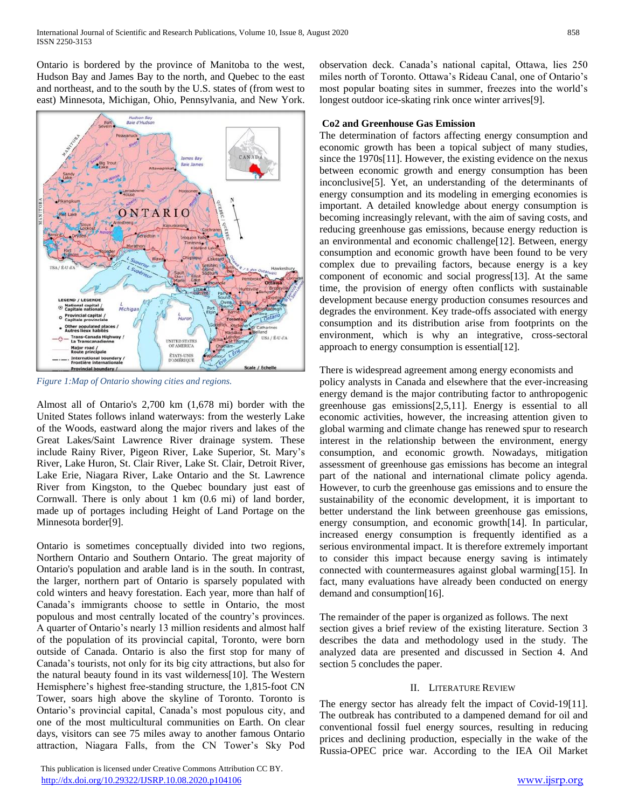Ontario is bordered by the province of Manitoba to the west, Hudson Bay and James Bay to the north, and Quebec to the east and northeast, and to the south by the U.S. states of (from west to east) Minnesota, Michigan, Ohio, Pennsylvania, and New York.



*Figure 1:Map of Ontario showing cities and regions.*

Almost all of Ontario's 2,700 km (1,678 mi) border with the United States follows inland waterways: from the westerly Lake of the Woods, eastward along the major rivers and lakes of the Great Lakes/Saint Lawrence River drainage system. These include Rainy River, Pigeon River, Lake Superior, St. Mary's River, Lake Huron, St. Clair River, Lake St. Clair, Detroit River, Lake Erie, Niagara River, Lake Ontario and the St. Lawrence River from Kingston, to the Quebec boundary just east of Cornwall. There is only about 1 km (0.6 mi) of land border, made up of portages including Height of Land Portage on the Minnesota border[9].

Ontario is sometimes conceptually divided into two regions, Northern Ontario and Southern Ontario. The great majority of Ontario's population and arable land is in the south. In contrast, the larger, northern part of Ontario is sparsely populated with cold winters and heavy forestation. Each year, more than half of Canada's immigrants choose to settle in Ontario, the most populous and most centrally located of the country's provinces. A quarter of Ontario's nearly 13 million residents and almost half of the population of its provincial capital, Toronto, were born outside of Canada. Ontario is also the first stop for many of Canada's tourists, not only for its big city attractions, but also for the natural beauty found in its vast wilderness[10]. The Western Hemisphere's highest free-standing structure, the 1,815-foot CN Tower, soars high above the skyline of Toronto. Toronto is Ontario's provincial capital, Canada's most populous city, and one of the most multicultural communities on Earth. On clear days, visitors can see 75 miles away to another famous Ontario attraction, Niagara Falls, from the CN Tower's Sky Pod

 This publication is licensed under Creative Commons Attribution CC BY. <http://dx.doi.org/10.29322/IJSRP.10.08.2020.p104106> [www.ijsrp.org](http://ijsrp.org/)

observation deck. Canada's national capital, Ottawa, lies 250 miles north of Toronto. Ottawa's Rideau Canal, one of Ontario's most popular boating sites in summer, freezes into the world's longest outdoor ice-skating rink once winter arrives[9].

## **Co2 and Greenhouse Gas Emission**

The determination of factors affecting energy consumption and economic growth has been a topical subject of many studies, since the 1970s[11]. However, the existing evidence on the nexus between economic growth and energy consumption has been inconclusive[5]. Yet, an understanding of the determinants of energy consumption and its modeling in emerging economies is important. A detailed knowledge about energy consumption is becoming increasingly relevant, with the aim of saving costs, and reducing greenhouse gas emissions, because energy reduction is an environmental and economic challenge[12]. Between, energy consumption and economic growth have been found to be very complex due to prevailing factors, because energy is a key component of economic and social progress[13]. At the same time, the provision of energy often conflicts with sustainable development because energy production consumes resources and degrades the environment. Key trade-offs associated with energy consumption and its distribution arise from footprints on the environment, which is why an integrative, cross-sectoral approach to energy consumption is essential[12].

#### There is widespread agreement among energy economists and

policy analysts in Canada and elsewhere that the ever-increasing energy demand is the major contributing factor to anthropogenic greenhouse gas emissions[2,5,11]. Energy is essential to all economic activities, however, the increasing attention given to global warming and climate change has renewed spur to research interest in the relationship between the environment, energy consumption, and economic growth. Nowadays, mitigation assessment of greenhouse gas emissions has become an integral part of the national and international climate policy agenda. However, to curb the greenhouse gas emissions and to ensure the sustainability of the economic development, it is important to better understand the link between greenhouse gas emissions, energy consumption, and economic growth[14]. In particular, increased energy consumption is frequently identified as a serious environmental impact. It is therefore extremely important to consider this impact because energy saving is intimately connected with countermeasures against global warming[15]. In fact, many evaluations have already been conducted on energy demand and consumption[16].

The remainder of the paper is organized as follows. The next section gives a brief review of the existing literature. Section 3 describes the data and methodology used in the study. The analyzed data are presented and discussed in Section 4. And section 5 concludes the paper.

#### II. LITERATURE REVIEW

The energy sector has already felt the impact of Covid-19[11]. The outbreak has contributed to a dampened demand for oil and conventional fossil fuel energy sources, resulting in reducing prices and declining production, especially in the wake of the Russia-OPEC price war. According to the IEA Oil Market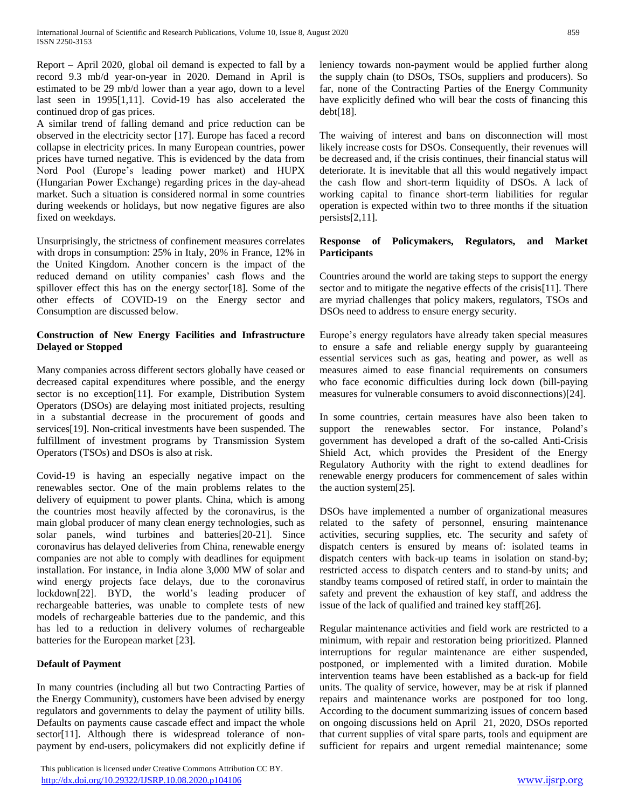Report – April 2020, global oil demand is expected to fall by a record 9.3 mb/d year-on-year in 2020. Demand in April is estimated to be 29 mb/d lower than a year ago, down to a level last seen in 1995[1,11]. Covid-19 has also accelerated the continued drop of gas prices.

A similar trend of falling demand and price reduction can be observed in the electricity sector [17]. Europe has faced a record collapse in electricity prices. In many European countries, power prices have turned negative. This is evidenced by the data from Nord Pool (Europe's leading power market) and HUPX (Hungarian Power Exchange) regarding prices in the day-ahead market. Such a situation is considered normal in some countries during weekends or holidays, but now negative figures are also fixed on weekdays.

Unsurprisingly, the strictness of confinement measures correlates with drops in consumption: 25% in Italy, 20% in France, 12% in the United Kingdom. Another concern is the impact of the reduced demand on utility companies' cash flows and the spillover effect this has on the energy sector[18]. Some of the other effects of COVID-19 on the Energy sector and Consumption are discussed below.

# **Construction of New Energy Facilities and Infrastructure Delayed or Stopped**

Many companies across different sectors globally have ceased or decreased capital expenditures where possible, and the energy sector is no exception[11]. For example, Distribution System Operators (DSOs) are delaying most initiated projects, resulting in a substantial decrease in the procurement of goods and services[19]. Non-critical investments have been suspended. The fulfillment of investment programs by Transmission System Operators (TSOs) and DSOs is also at risk.

Covid-19 is having an especially negative impact on the renewables sector. One of the main problems relates to the delivery of equipment to power plants. China, which is among the countries most heavily affected by the coronavirus, is the main global producer of many clean energy technologies, such as solar panels, wind turbines and batteries[20-21]. Since coronavirus has delayed deliveries from China, renewable energy companies are not able to comply with deadlines for equipment installation. For instance, in India alone 3,000 MW of solar and wind energy projects face delays, due to the coronavirus lockdown[22]. BYD, the world's leading producer of rechargeable batteries, was unable to complete tests of new models of rechargeable batteries due to the pandemic, and this has led to a reduction in delivery volumes of rechargeable batteries for the European market [23].

## **Default of Payment**

In many countries (including all but two Contracting Parties of the Energy Community), customers have been advised by energy regulators and governments to delay the payment of utility bills. Defaults on payments cause cascade effect and impact the whole sector[11]. Although there is widespread tolerance of nonpayment by end-users, policymakers did not explicitly define if

 This publication is licensed under Creative Commons Attribution CC BY. <http://dx.doi.org/10.29322/IJSRP.10.08.2020.p104106> [www.ijsrp.org](http://ijsrp.org/)

leniency towards non-payment would be applied further along the supply chain (to DSOs, TSOs, suppliers and producers). So far, none of the Contracting Parties of the Energy Community have explicitly defined who will bear the costs of financing this debt[18].

The waiving of interest and bans on disconnection will most likely increase costs for DSOs. Consequently, their revenues will be decreased and, if the crisis continues, their financial status will deteriorate. It is inevitable that all this would negatively impact the cash flow and short-term liquidity of DSOs. A lack of working capital to finance short-term liabilities for regular operation is expected within two to three months if the situation persists[2,11].

#### **Response of Policymakers, Regulators, and Market Participants**

Countries around the world are taking steps to support the energy sector and to mitigate the negative effects of the crisis[11]. There are myriad challenges that policy makers, regulators, TSOs and DSOs need to address to ensure energy security.

Europe's energy regulators have already taken special measures to ensure a safe and reliable energy supply by guaranteeing essential services such as gas, heating and power, as well as measures aimed to ease financial requirements on consumers who face economic difficulties during lock down (bill-paying measures for vulnerable consumers to avoid disconnections)[24].

In some countries, certain measures have also been taken to support the renewables sector. For instance, Poland's government has developed a draft of the so-called Anti-Crisis Shield Act, which provides the President of the Energy Regulatory Authority with the right to extend deadlines for renewable energy producers for commencement of sales within the auction system[25].

DSOs have implemented a number of organizational measures related to the safety of personnel, ensuring maintenance activities, securing supplies, etc. The security and safety of dispatch centers is ensured by means of: isolated teams in dispatch centers with back-up teams in isolation on stand-by; restricted access to dispatch centers and to stand-by units; and standby teams composed of retired staff, in order to maintain the safety and prevent the exhaustion of key staff, and address the issue of the lack of qualified and trained key staff[26].

Regular maintenance activities and field work are restricted to a minimum, with repair and restoration being prioritized. Planned interruptions for regular maintenance are either suspended, postponed, or implemented with a limited duration. Mobile intervention teams have been established as a back-up for field units. The quality of service, however, may be at risk if planned repairs and maintenance works are postponed for too long. According to the document summarizing issues of concern based on ongoing discussions held on April 21, 2020, DSOs reported that current supplies of vital spare parts, tools and equipment are sufficient for repairs and urgent remedial maintenance; some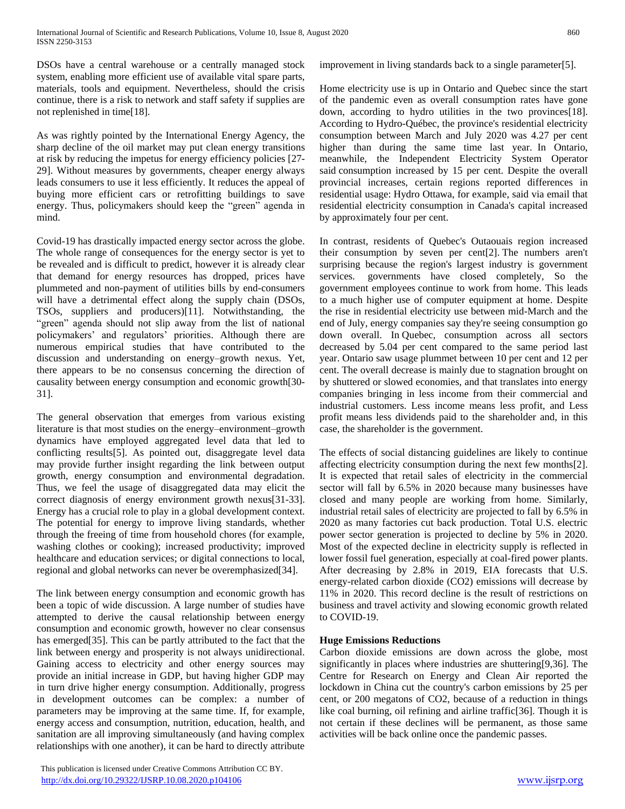DSOs have a central warehouse or a centrally managed stock system, enabling more efficient use of available vital spare parts, materials, tools and equipment. Nevertheless, should the crisis continue, there is a risk to network and staff safety if supplies are not replenished in time[18].

As was rightly pointed by the International Energy Agency, the sharp decline of the oil market may put clean energy transitions at risk by reducing the impetus for energy efficiency policies [27- 29]. Without measures by governments, cheaper energy always leads consumers to use it less efficiently. It reduces the appeal of buying more efficient cars or retrofitting buildings to save energy. Thus, policymakers should keep the "green" agenda in mind.

Covid-19 has drastically impacted energy sector across the globe. The whole range of consequences for the energy sector is yet to be revealed and is difficult to predict, however it is already clear that demand for energy resources has dropped, prices have plummeted and non-payment of utilities bills by end-consumers will have a detrimental effect along the supply chain (DSOs, TSOs, suppliers and producers)[11]. Notwithstanding, the "green" agenda should not slip away from the list of national policymakers' and regulators' priorities. Although there are numerous empirical studies that have contributed to the discussion and understanding on energy–growth nexus. Yet, there appears to be no consensus concerning the direction of causality between energy consumption and economic growth[30- 31].

The general observation that emerges from various existing literature is that most studies on the energy–environment–growth dynamics have employed aggregated level data that led to conflicting results[5]. As pointed out, disaggregate level data may provide further insight regarding the link between output growth, energy consumption and environmental degradation. Thus, we feel the usage of disaggregated data may elicit the correct diagnosis of energy environment growth nexus[31-33]. Energy has a crucial role to play in a global development context. The potential for energy to improve living standards, whether through the freeing of time from household chores (for example, washing clothes or cooking); increased productivity; improved healthcare and education services; or digital connections to local, regional and global networks can never be overemphasized[34].

The link between energy consumption and economic growth has been a topic of wide discussion. A large number of studies have attempted to derive the causal relationship between energy consumption and economic growth, however no clear consensus has emerged[35]. This can be partly attributed to the fact that the link between energy and prosperity is not always unidirectional. Gaining access to electricity and other energy sources may provide an initial increase in GDP, but having higher GDP may in turn drive higher energy consumption. Additionally, progress in development outcomes can be complex: a number of parameters may be improving at the same time. If, for example, energy access and consumption, nutrition, education, health, and sanitation are all improving simultaneously (and having complex relationships with one another), it can be hard to directly attribute

 This publication is licensed under Creative Commons Attribution CC BY. <http://dx.doi.org/10.29322/IJSRP.10.08.2020.p104106> [www.ijsrp.org](http://ijsrp.org/)

improvement in living standards back to a single parameter[5].

Home electricity use is up in Ontario and Quebec since the start of the pandemic even as overall consumption rates have gone down, according to hydro utilities in the two provinces[18]. According to Hydro-Québec, the province's residential electricity consumption between March and July 2020 was 4.27 per cent higher than during the same time last year. In Ontario, meanwhile, the Independent Electricity System Operator said consumption increased by 15 per cent. Despite the overall provincial increases, certain regions reported differences in residential usage: Hydro Ottawa, for example, said via email that residential electricity consumption in Canada's capital increased by approximately four per cent.

In contrast, residents of Quebec's Outaouais region increased their consumption by seven per cent[2]. The numbers aren't surprising because the region's largest industry is government services. governments have closed completely, So the government employees [continue to work from home.](https://www.cbc.ca/news/canada/ottawa/federal-public-servants-return-to-office-1.5656377) This leads to a much higher use of computer equipment at home. Despite the rise in residential electricity use between mid-March and the end of July, energy companies say they're seeing consumption go down overall. In Quebec, consumption across all sectors decreased by 5.04 per cent compared to the same period last year. Ontario saw usage plummet between 10 per cent and 12 per cent. The overall decrease is mainly due to stagnation brought on by shuttered or slowed economies, and that translates into energy companies bringing in less income from their commercial and industrial customers. Less income means less profit, and Less profit means less dividends paid to the shareholder and, in this case, the shareholder is the government.

The effects of social distancing guidelines are likely to continue affecting electricity consumption during the next few months[2]. It is expected that retail sales of electricity in the commercial sector will fall by 6.5% in 2020 because many businesses have closed and many people are working from home. Similarly, industrial retail sales of electricity are projected to fall by 6.5% in 2020 as many factories cut back production. Total U.S. electric power sector generation is projected to decline by 5% in 2020. Most of the expected decline in electricity supply is reflected in lower fossil fuel generation, especially at coal-fired power plants. After decreasing by 2.8% in 2019, EIA forecasts that U.S. energy-related carbon dioxide (CO2) emissions will decrease by 11% in 2020. This record decline is the result of restrictions on business and travel activity and slowing economic growth related to COVID-19.

# **Huge Emissions Reductions**

Carbon dioxide emissions are down across the globe, most significantly in places where industries are shuttering[9,36]. The Centre for Research on Energy and Clean Air reported the lockdown in China cut the country's carbon emissions by 25 per cent, or 200 megatons of CO2, because of a reduction in things like coal burning, oil refining and airline traffic[36]. Though it is not certain if these declines will be permanent, as those same activities will be back online once the pandemic passes.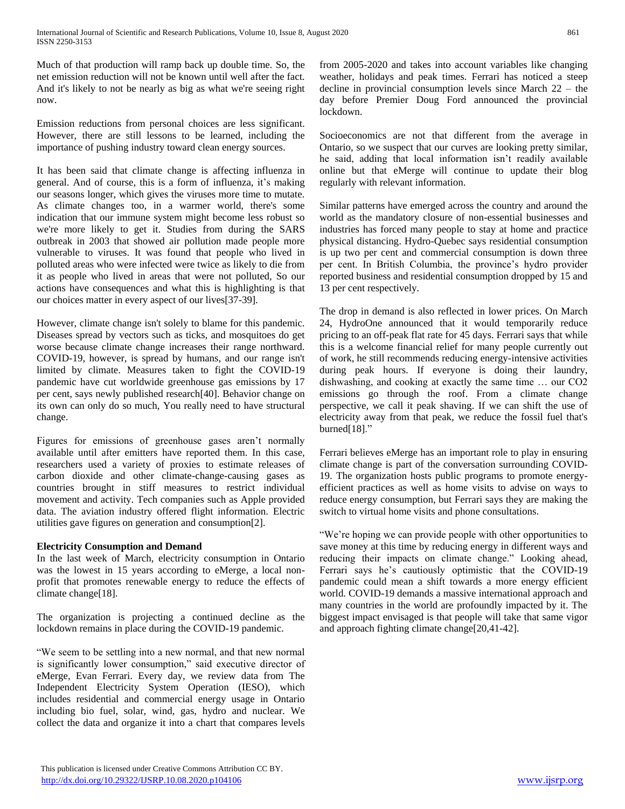Much of that production will ramp back up double time. So, the net emission reduction will not be known until well after the fact. And it's likely to not be nearly as big as what we're seeing right now.

Emission reductions from personal choices are less significant. However, there are still lessons to be learned, including the importance of pushing industry toward clean energy sources.

It has been said that climate change is affecting influenza in general. And of course, this is a form of influenza, it's making our seasons longer, which gives the viruses more time to mutate. As climate changes too, in a warmer world, there's some indication that our immune system might become less robust so we're more likely to get it. Studies from during the SARS outbreak in 2003 that showed air pollution made people more vulnerable to viruses. It was found that people who lived in polluted areas who were infected were twice as likely to die from it as people who lived in areas that were not polluted, So our actions have consequences and what this is highlighting is that our choices matter in every aspect of our lives[37-39].

However, climate change isn't solely to blame for this pandemic. Diseases spread by vectors such as ticks, and mosquitoes do get worse because climate change increases their range northward. COVID-19, however, is spread by humans, and our range isn't limited by climate. Measures taken to fight the COVID-19 pandemic have cut worldwide greenhouse gas emissions by 17 per cent, says newly published research[40]. Behavior change on its own can only do so much, You really need to have structural change.

Figures for emissions of greenhouse gases aren't normally available until after emitters have reported them. In this case, researchers used a variety of proxies to estimate releases of carbon dioxide and other climate-change-causing gases as countries brought in stiff measures to restrict individual movement and activity. Tech companies such as Apple provided data. The aviation industry offered flight information. Electric utilities gave figures on generation and consumption[2].

## **Electricity Consumption and Demand**

In the last week of March, electricity consumption in Ontario was the lowest in 15 years according to eMerge, a local nonprofit that promotes renewable energy to reduce the effects of climate change[18].

The organization is projecting a continued decline as the lockdown remains in place during the COVID-19 pandemic.

"We seem to be settling into a new normal, and that new normal is significantly lower consumption," said executive director of eMerge, Evan Ferrari. Every day, we review data from The Independent Electricity System Operation (IESO), which includes residential and commercial energy usage in Ontario including bio fuel, solar, wind, gas, hydro and nuclear. We collect the data and organize it into a chart that compares levels

from 2005-2020 and takes into account variables like changing weather, holidays and peak times. Ferrari has noticed a steep decline in provincial consumption levels since March 22 – the day before Premier Doug Ford announced the provincial lockdown.

Socioeconomics are not that different from the average in Ontario, so we suspect that our curves are looking pretty similar, he said, adding that local information isn't readily available online but that eMerge will continue to update their blog regularly with relevant information.

Similar patterns have emerged across the country and around the world as the mandatory closure of non-essential businesses and industries has forced many people to stay at home and practice physical distancing. Hydro-Quebec says residential consumption is up two per cent and commercial consumption is down three per cent. In British Columbia, the province's hydro provider reported business and residential consumption dropped by 15 and 13 per cent respectively.

The drop in demand is also reflected in lower prices. On March 24, HydroOne announced that it would temporarily reduce pricing to an off-peak flat rate for 45 days. Ferrari says that while this is a welcome financial relief for many people currently out of work, he still recommends reducing energy-intensive activities during peak hours. If everyone is doing their laundry, dishwashing, and cooking at exactly the same time … our CO2 emissions go through the roof. From a climate change perspective, we call it peak shaving. If we can shift the use of electricity away from that peak, we reduce the fossil fuel that's burned[18]."

Ferrari believes eMerge has an important role to play in ensuring climate change is part of the conversation surrounding COVID-19. The organization hosts public programs to promote energyefficient practices as well as home visits to advise on ways to reduce energy consumption, but Ferrari says they are making the switch to virtual home visits and phone consultations.

"We're hoping we can provide people with other opportunities to save money at this time by reducing energy in different ways and reducing their impacts on climate change." Looking ahead, Ferrari says he's cautiously optimistic that the COVID-19 pandemic could mean a shift towards a more energy efficient world. COVID-19 demands a massive international approach and many countries in the world are profoundly impacted by it. The biggest impact envisaged is that people will take that same vigor and approach fighting climate change[20,41-42].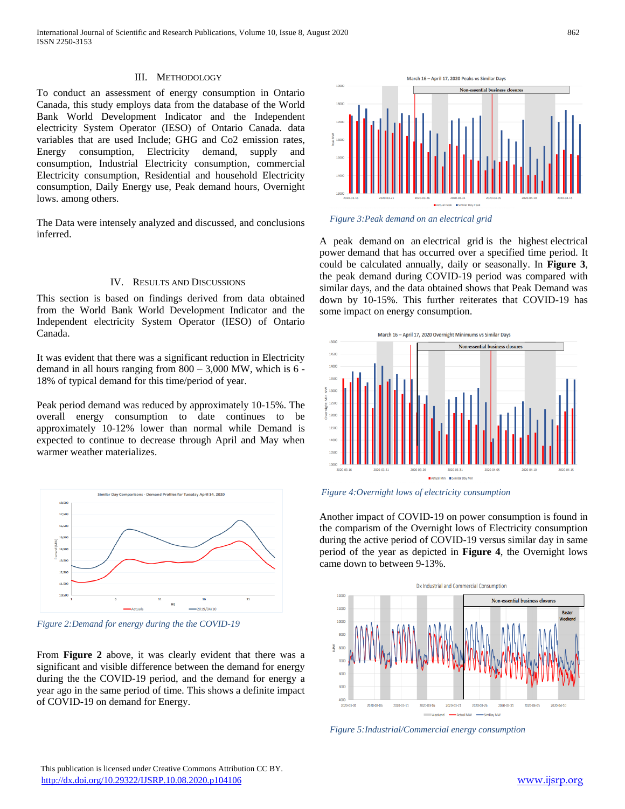#### III. METHODOLOGY

To conduct an assessment of energy consumption in Ontario Canada, this study employs data from the database of the World Bank World Development Indicator and the Independent electricity System Operator (IESO) of Ontario Canada. data variables that are used Include; GHG and Co2 emission rates, Energy consumption, Electricity demand, supply and consumption, Industrial Electricity consumption, commercial Electricity consumption, Residential and household Electricity consumption, Daily Energy use, Peak demand hours, Overnight lows. among others.

The Data were intensely analyzed and discussed, and conclusions inferred.

#### IV. RESULTS AND DISCUSSIONS

This section is based on findings derived from data obtained from the World Bank World Development Indicator and the Independent electricity System Operator (IESO) of Ontario Canada.

It was evident that there was a significant reduction in Electricity demand in all hours ranging from  $800 - 3,000$  MW, which is 6 -18% of typical demand for this time/period of year.

Peak period demand was reduced by approximately 10-15%. The overall energy consumption to date continues to be approximately 10-12% lower than normal while Demand is expected to continue to decrease through April and May when warmer weather materializes.



*Figure 2:Demand for energy during the the COVID-19*

From **Figure 2** above, it was clearly evident that there was a significant and visible difference between the demand for energy during the the COVID-19 period, and the demand for energy a year ago in the same period of time. This shows a definite impact of COVID-19 on demand for Energy.





A peak demand on an electrical grid is the highest electrical power demand that has occurred over a specified time period. It could be calculated annually, daily or seasonally. In **Figure 3**, the peak demand during COVID-19 period was compared with similar days, and the data obtained shows that Peak Demand was down by 10-15%. This further reiterates that COVID-19 has some impact on energy consumption.



*Figure 4:Overnight lows of electricity consumption*

Another impact of COVID-19 on power consumption is found in the comparism of the Overnight lows of Electricity consumption during the active period of COVID-19 versus similar day in same period of the year as depicted in **Figure 4**, the Overnight lows came down to between 9-13%.



*Figure 5:Industrial/Commercial energy consumption*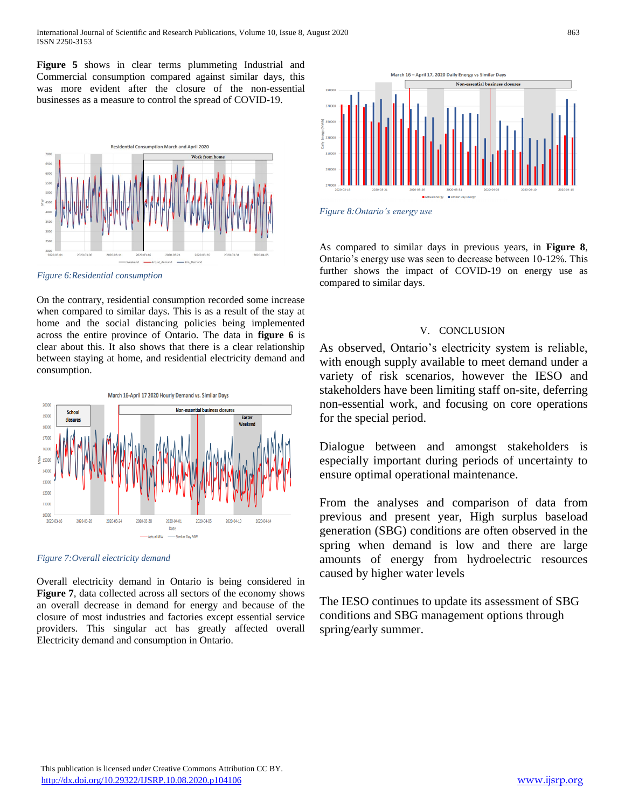**Figure 5** shows in clear terms plummeting Industrial and Commercial consumption compared against similar days, this was more evident after the closure of the non-essential businesses as a measure to control the spread of COVID-19.





On the contrary, residential consumption recorded some increase when compared to similar days. This is as a result of the stay at home and the social distancing policies being implemented across the entire province of Ontario. The data in **figure 6** is clear about this. It also shows that there is a clear relationship between staying at home, and residential electricity demand and consumption.





Overall electricity demand in Ontario is being considered in **Figure 7**, data collected across all sectors of the economy shows an overall decrease in demand for energy and because of the closure of most industries and factories except essential service providers. This singular act has greatly affected overall Electricity demand and consumption in Ontario.



*Figure 8:Ontario's energy use*

As compared to similar days in previous years, in **Figure 8**, Ontario's energy use was seen to decrease between 10-12%. This further shows the impact of COVID-19 on energy use as compared to similar days.

#### V. CONCLUSION

As observed, Ontario's electricity system is reliable, with enough supply available to meet demand under a variety of risk scenarios, however the IESO and stakeholders have been limiting staff on-site, deferring non-essential work, and focusing on core operations for the special period.

Dialogue between and amongst stakeholders is especially important during periods of uncertainty to ensure optimal operational maintenance.

From the analyses and comparison of data from previous and present year, High surplus baseload generation (SBG) conditions are often observed in the spring when demand is low and there are large amounts of energy from hydroelectric resources caused by higher water levels

The IESO continues to update its assessment of SBG conditions and SBG management options through spring/early summer.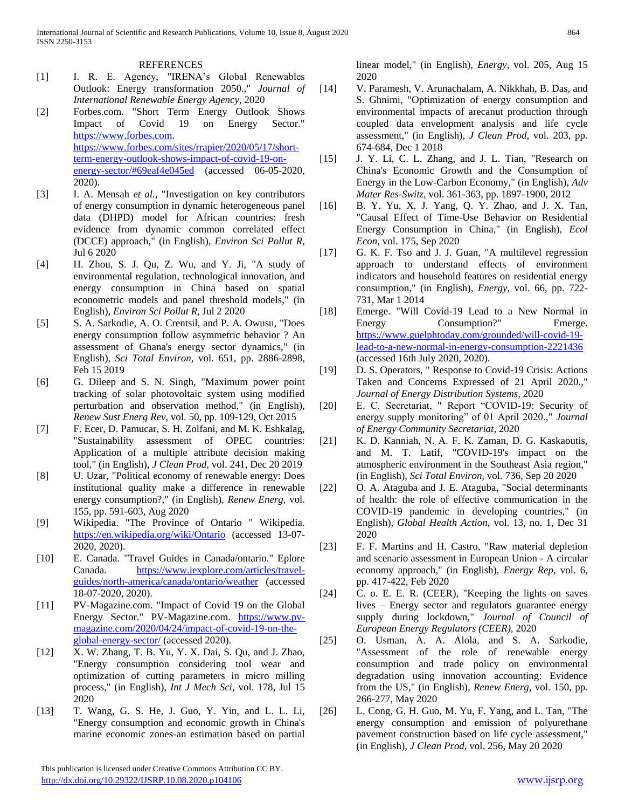#### REFERENCES

- [1] I. R. E. Agency, "IRENA's Global Renewables Outlook: Energy transformation 2050.," *Journal of International Renewable Energy Agency,* 2020
- [2] Forbes.com. "Short Term Energy Outlook Shows Impact of Covid 19 on Energy Sector." [https://www.forbes.com.](https://www.forbes.com/) [https://www.forbes.com/sites/rrapier/2020/05/17/short](https://www.forbes.com/sites/rrapier/2020/05/17/short-term-energy-outlook-shows-impact-of-covid-19-on-energy-sector/#69eaf4e045ed)[term-energy-outlook-shows-impact-of-covid-19-on](https://www.forbes.com/sites/rrapier/2020/05/17/short-term-energy-outlook-shows-impact-of-covid-19-on-energy-sector/#69eaf4e045ed)[energy-sector/#69eaf4e045ed](https://www.forbes.com/sites/rrapier/2020/05/17/short-term-energy-outlook-shows-impact-of-covid-19-on-energy-sector/#69eaf4e045ed) (accessed 06-05-2020, 2020).
- [3] I. A. Mensah *et al.*, "Investigation on key contributors of energy consumption in dynamic heterogeneous panel data (DHPD) model for African countries: fresh evidence from dynamic common correlated effect (DCCE) approach," (in English), *Environ Sci Pollut R,*  Jul 6 2020
- [4] H. Zhou, S. J. Qu, Z. Wu, and Y. Ji, "A study of environmental regulation, technological innovation, and energy consumption in China based on spatial econometric models and panel threshold models," (in English), *Environ Sci Pollut R,* Jul 2 2020
- [5] S. A. Sarkodie, A. O. Crentsil, and P. A. Owusu, "Does energy consumption follow asymmetric behavior ? An assessment of Ghana's energy sector dynamics," (in English), *Sci Total Environ,* vol. 651, pp. 2886-2898, Feb 15 2019
- [6] G. Dileep and S. N. Singh, "Maximum power point tracking of solar photovoltaic system using modified perturbation and observation method," (in English), *Renew Sust Energ Rev,* vol. 50, pp. 109-129, Oct 2015
- [7] F. Ecer, D. Pamucar, S. H. Zolfani, and M. K. Eshkalag, "Sustainability assessment of OPEC countries: Application of a multiple attribute decision making tool," (in English), *J Clean Prod,* vol. 241, Dec 20 2019
- [8] U. Uzar, "Political economy of renewable energy: Does institutional quality make a difference in renewable energy consumption?," (in English), *Renew Energ,* vol. 155, pp. 591-603, Aug 2020
- [9] Wikipedia. "The Province of Ontario " Wikipedia. <https://en.wikipedia.org/wiki/Ontario> (accessed 13-07- 2020, 2020).
- [10] E. Canada. "Travel Guides in Canada/ontario." Eplore Canada. [https://www.iexplore.com/articles/travel](https://www.iexplore.com/articles/travel-guides/north-america/canada/ontario/weather)[guides/north-america/canada/ontario/weather](https://www.iexplore.com/articles/travel-guides/north-america/canada/ontario/weather) (accessed 18-07-2020, 2020).
- [11] PV-Magazine.com. "Impact of Covid 19 on the Global Energy Sector." PV-Magazine.com. [https://www.pv](https://www.pv-magazine.com/2020/04/24/impact-of-covid-19-on-the-global-energy-sector/)[magazine.com/2020/04/24/impact-of-covid-19-on-the](https://www.pv-magazine.com/2020/04/24/impact-of-covid-19-on-the-global-energy-sector/)[global-energy-sector/](https://www.pv-magazine.com/2020/04/24/impact-of-covid-19-on-the-global-energy-sector/) (accessed 2020).
- [12] X. W. Zhang, T. B. Yu, Y. X. Dai, S. Qu, and J. Zhao, "Energy consumption considering tool wear and optimization of cutting parameters in micro milling process," (in English), *Int J Mech Sci,* vol. 178, Jul 15 2020
- [13] T. Wang, G. S. He, J. Guo, Y. Yin, and L. L. Li, "Energy consumption and economic growth in China's marine economic zones-an estimation based on partial

 This publication is licensed under Creative Commons Attribution CC BY. <http://dx.doi.org/10.29322/IJSRP.10.08.2020.p104106> [www.ijsrp.org](http://ijsrp.org/)

linear model," (in English), *Energy,* vol. 205, Aug 15 2020

- [14] V. Paramesh, V. Arunachalam, A. Nikkhah, B. Das, and S. Ghnimi, "Optimization of energy consumption and environmental impacts of arecanut production through coupled data envelopment analysis and life cycle assessment," (in English), *J Clean Prod,* vol. 203, pp. 674-684, Dec 1 2018
- [15] J. Y. Li, C. L. Zhang, and J. L. Tian, "Research on China's Economic Growth and the Consumption of Energy in the Low-Carbon Economy," (in English), *Adv Mater Res-Switz,* vol. 361-363, pp. 1897-1900, 2012
- [16] B. Y. Yu, X. J. Yang, Q. Y. Zhao, and J. X. Tan, "Causal Effect of Time-Use Behavior on Residential Energy Consumption in China," (in English), *Ecol Econ,* vol. 175, Sep 2020
- [17] G. K. F. Tso and J. J. Guan, "A multilevel regression approach to understand effects of environment indicators and household features on residential energy consumption," (in English), *Energy,* vol. 66, pp. 722- 731, Mar 1 2014
- [18] Emerge. "Will Covid-19 Lead to a New Normal in Energy Consumption?" Emerge. [https://www.guelphtoday.com/grounded/will-covid-19](https://www.guelphtoday.com/grounded/will-covid-19-lead-to-a-new-normal-in-energy-consumption-2221436) [lead-to-a-new-normal-in-energy-consumption-2221436](https://www.guelphtoday.com/grounded/will-covid-19-lead-to-a-new-normal-in-energy-consumption-2221436) (accessed 16th July 2020, 2020).
- [19] D. S. Operators, " Response to Covid-19 Crisis: Actions Taken and Concerns Expressed of 21 April 2020.," *Journal of Energy Distribution Systems,* 2020
- [20] E. C. Secretariat, " Report "COVID-19: Security of energy supply monitoring" of 01 April 2020.," *Journal of Energy Community Secretariat,* 2020
- [21] K. D. Kanniah, N. A. F. K. Zaman, D. G. Kaskaoutis, and M. T. Latif, "COVID-19's impact on the atmospheric environment in the Southeast Asia region," (in English), *Sci Total Environ,* vol. 736, Sep 20 2020
- [22] O. A. Ataguba and J. E. Ataguba, "Social determinants of health: the role of effective communication in the COVID-19 pandemic in developing countries," (in English), *Global Health Action,* vol. 13, no. 1, Dec 31 2020
- [23] F. F. Martins and H. Castro, "Raw material depletion and scenario assessment in European Union - A circular economy approach," (in English), *Energy Rep,* vol. 6, pp. 417-422, Feb 2020
- [24] C. o. E. E. R. (CEER), "Keeping the lights on saves lives – Energy sector and regulators guarantee energy supply during lockdown," *Journal of Council of European Energy Regulators (CEER),* 2020
- [25] O. Usman, A. A. Alola, and S. A. Sarkodie, "Assessment of the role of renewable energy consumption and trade policy on environmental degradation using innovation accounting: Evidence from the US," (in English), *Renew Energ,* vol. 150, pp. 266-277, May 2020
- [26] L. Cong, G. H. Guo, M. Yu, F. Yang, and L. Tan, "The energy consumption and emission of polyurethane pavement construction based on life cycle assessment," (in English), *J Clean Prod,* vol. 256, May 20 2020